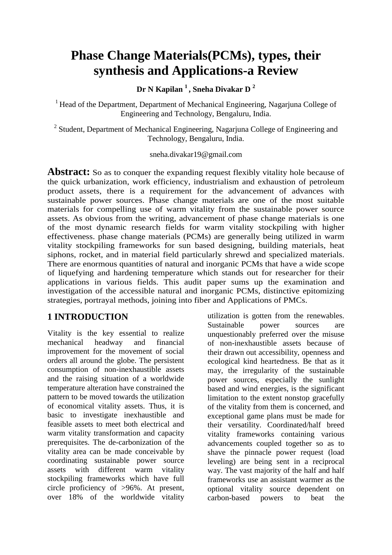# **Phase Change Materials(PCMs), types, their synthesis and Applications-a Review**

**Dr N Kapilan <sup>1</sup>, Sneha Divakar D <sup>2</sup>**

<sup>1</sup> Head of the Department, Department of Mechanical Engineering, Nagarjuna College of Engineering and Technology, Bengaluru, India.

<sup>2</sup> Student, Department of Mechanical Engineering, Nagarjuna College of Engineering and Technology, Bengaluru, India.

#### sneha.divakar19@gmail.com

**Abstract:** So as to conquer the expanding request flexibly vitality hole because of the quick urbanization, work efficiency, industrialism and exhaustion of petroleum product assets, there is a requirement for the advancement of advances with sustainable power sources. Phase change materials are one of the most suitable materials for compelling use of warm vitality from the sustainable power source assets. As obvious from the writing, advancement of phase change materials is one of the most dynamic research fields for warm vitality stockpiling with higher effectiveness. phase change materials (PCMs) are generally being utilized in warm vitality stockpiling frameworks for sun based designing, building materials, heat siphons, rocket, and in material field particularly shrewd and specialized materials. There are enormous quantities of natural and inorganic PCMs that have a wide scope of liquefying and hardening temperature which stands out for researcher for their applications in various fields. This audit paper sums up the examination and investigation of the accessible natural and inorganic PCMs, distinctive epitomizing strategies, portrayal methods, joining into fiber and Applications of PMCs.

# **1 INTRODUCTION**

Vitality is the key essential to realize mechanical headway and financial improvement for the movement of social orders all around the globe. The persistent consumption of non-inexhaustible assets and the raising situation of a worldwide temperature alteration have constrained the pattern to be moved towards the utilization of economical vitality assets. Thus, it is basic to investigate inexhaustible and feasible assets to meet both electrical and warm vitality transformation and capacity prerequisites. The de-carbonization of the vitality area can be made conceivable by coordinating sustainable power source assets with different warm vitality stockpiling frameworks which have full circle proficiency of >96%. At present, over 18% of the worldwide vitality

utilization is gotten from the renewables. Sustainable power sources are unquestionably preferred over the misuse of non-inexhaustible assets because of their drawn out accessibility, openness and ecological kind heartedness. Be that as it may, the irregularity of the sustainable power sources, especially the sunlight based and wind energies, is the significant limitation to the extent nonstop gracefully of the vitality from them is concerned, and exceptional game plans must be made for their versatility. Coordinated/half breed vitality frameworks containing various advancements coupled together so as to shave the pinnacle power request (load leveling) are being sent in a reciprocal way. The vast majority of the half and half frameworks use an assistant warmer as the optional vitality source dependent on carbon-based powers to beat the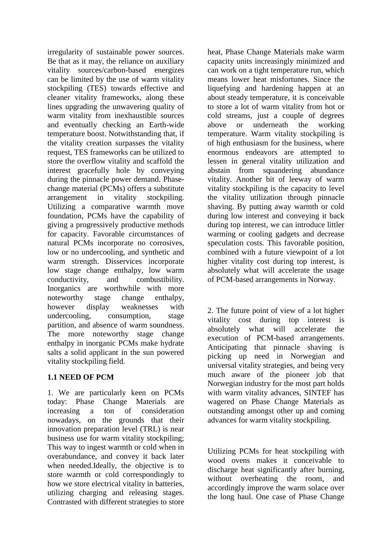irregularity of sustainable power sources. Be that as it may, the reliance on auxiliary vitality sources/carbon-based energizes can be limited by the use of warm vitality stockpiling (TES) towards effective and cleaner vitality frameworks, along these lines upgrading the unwavering quality of warm vitality from inexhaustible sources and eventually checking an Earth-wide temperature boost. Notwithstanding that, if the vitality creation surpasses the vitality request, TES frameworks can be utilized to store the overflow vitality and scaffold the interest gracefully hole by conveying during the pinnacle power demand. Phasechange material (PCMs) offers a substitute arrangement in vitality stockpiling. Utilizing a comparative warmth move foundation, PCMs have the capability of giving a progressively productive methods for capacity. Favorable circumstances of natural PCMs incorporate no corrosives, low or no undercooling, and synthetic and warm strength. Disservices incorporate low stage change enthalpy, low warm conductivity, and combustibility. Inorganics are worthwhile with more noteworthy stage change enthalpy, however display weaknesses with undercooling, consumption, stage partition, and absence of warm soundness. The more noteworthy stage change enthalpy in inorganic PCMs make hydrate salts a solid applicant in the sun powered vitality stockpiling field.

# **1.1 NEED OF PCM**

1. We are particularly keen on PCMs today: Phase Change Materials are increasing a ton of consideration nowadays, on the grounds that their innovation preparation level (TRL) is near business use for warm vitality stockpiling; This way to ingest warmth or cold when in overabundance, and convey it back later when needed.Ideally, the objective is to store warmth or cold correspondingly to how we store electrical vitality in batteries, utilizing charging and releasing stages. Contrasted with different strategies to store heat, Phase Change Materials make warm capacity units increasingly minimized and can work on a tight temperature run, which means lower heat misfortunes. Since the liquefying and hardening happen at an about steady temperature, it is conceivable to store a lot of warm vitality from hot or cold streams, just a couple of degrees above or underneath the working temperature. Warm vitality stockpiling is of high enthusiasm for the business, where enormous endeavors are attempted to lessen in general vitality utilization and abstain from squandering abundance vitality. Another bit of leeway of warm vitality stockpiling is the capacity to level the vitality utilization through pinnacle shaving. By putting away warmth or cold during low interest and conveying it back during top interest, we can introduce littler warming or cooling gadgets and decrease speculation costs. This favorable position, combined with a future viewpoint of a lot higher vitality cost during top interest, is absolutely what will accelerate the usage of PCM-based arrangements in Norway.

2. The future point of view of a lot higher vitality cost during top interest is absolutely what will accelerate the execution of PCM-based arrangements. Anticipating that pinnacle shaving is picking up need in Norwegian and universal vitality strategies, and being very much aware of the pioneer job that Norwegian industry for the most part holds with warm vitality advances, SINTEF has wagered on Phase Change Materials as outstanding amongst other up and coming advances for warm vitality stockpiling.

Utilizing PCMs for heat stockpiling with wood ovens makes it conceivable to discharge heat significantly after burning, without overheating the room, and accordingly improve the warm solace over the long haul. One case of Phase Change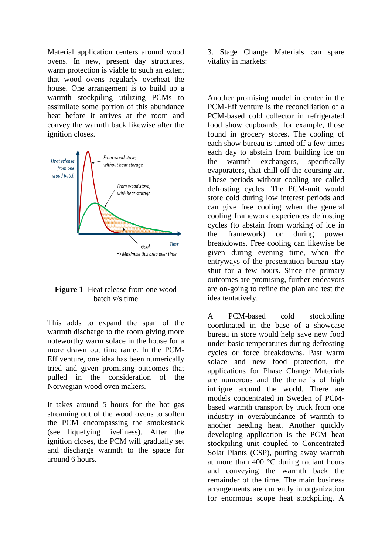Material application centers around wood ovens. In new, present day structures, warm protection is viable to such an extent that wood ovens regularly overheat the house. One arrangement is to build up a warmth stockpiling utilizing PCMs to assimilate some portion of this abundance heat before it arrives at the room and convey the warmth back likewise after the ignition closes.



#### **Figure 1**- Heat release from one wood batch v/s time

This adds to expand the span of the warmth discharge to the room giving more noteworthy warm solace in the house for a more drawn out timeframe. In the PCM-Eff venture, one idea has been numerically tried and given promising outcomes that pulled in the consideration of the Norwegian wood oven makers.

It takes around 5 hours for the hot gas streaming out of the wood ovens to soften the PCM encompassing the smokestack (see liquefying liveliness). After the ignition closes, the PCM will gradually set and discharge warmth to the space for around 6 hours.

3. Stage Change Materials can spare vitality in markets:

Another promising model in center in the PCM-Eff venture is the reconciliation of a PCM-based cold collector in refrigerated food show cupboards, for example, those found in grocery stores. The cooling of each show bureau is turned off a few times each day to abstain from building ice on the warmth exchangers, specifically evaporators, that chill off the coursing air. These periods without cooling are called defrosting cycles. The PCM-unit would store cold during low interest periods and can give free cooling when the general cooling framework experiences defrosting cycles (to abstain from working of ice in the framework) or during power breakdowns. Free cooling can likewise be given during evening time, when the entryways of the presentation bureau stay shut for a few hours. Since the primary outcomes are promising, further endeavors are on-going to refine the plan and test the idea tentatively.

A PCM-based cold stockpiling coordinated in the base of a showcase bureau in store would help save new food under basic temperatures during defrosting cycles or force breakdowns. Past warm solace and new food protection, the applications for Phase Change Materials are numerous and the theme is of high intrigue around the world. There are models concentrated in Sweden of PCMbased warmth transport by truck from one industry in overabundance of warmth to another needing heat. Another quickly developing application is the PCM heat stockpiling unit coupled to Concentrated Solar Plants (CSP), putting away warmth at more than 400 °C during radiant hours and conveying the warmth back the remainder of the time. The main business arrangements are currently in organization for enormous scope heat stockpiling. A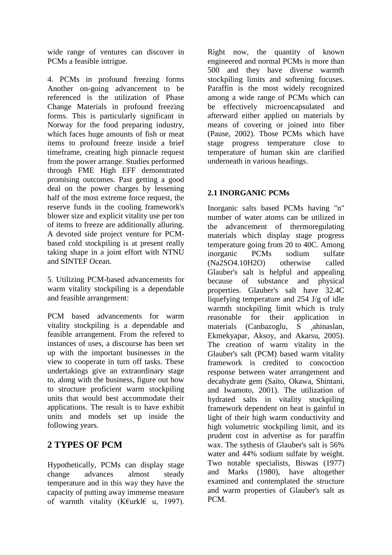wide range of ventures can discover in PCMs a feasible intrigue.

4. PCMs in profound freezing forms Another on-going advancement to be referenced is the utilization of Phase Change Materials in profound freezing forms. This is particularly significant in Norway for the food preparing industry, which faces huge amounts of fish or meat items to profound freeze inside a brief timeframe, creating high pinnacle request from the power arrange. Studies performed through FME High EFF demonstrated promising outcomes. Past getting a good deal on the power charges by lessening half of the most extreme force request, the reserve funds in the cooling framework's blower size and explicit vitality use per ton of items to freeze are additionally alluring. A devoted side project venture for PCMbased cold stockpiling is at present really taking shape in a joint effort with NTNU and SINTEF Ocean.

5. Utilizing PCM-based advancements for warm vitality stockpiling is a dependable and feasible arrangement:

PCM based advancements for warm vitality stockpiling is a dependable and feasible arrangement. From the refered to instances of uses, a discourse has been set up with the important businesses in the view to cooperate in turn off tasks. These undertakings give an extraordinary stage to, along with the business, figure out how to structure proficient warm stockpiling units that would best accommodate their applications. The result is to have exhibit units and models set up inside the following years.

# **2 TYPES OF PCM**

Hypothetically, PCMs can display stage change advances almost steady temperature and in this way they have the capacity of putting away immense measure of warmth vitality (K€urkl€ u, 1997).

Right now, the quantity of known engineered and normal PCMs is more than 500 and they have diverse warmth stockpiling limits and softening focuses. Paraffin is the most widely recognized among a wide range of PCMs which can be effectively microencapsulated and afterward either applied on materials by means of covering or joined into fiber (Pause, 2002). Those PCMs which have stage progress temperature close to temperature of human skin are clarified underneath in various headings.

## **2.1 INORGANIC PCMs**

Inorganic salts based PCMs having "n" number of water atoms can be utilized in the advancement of thermoregulating materials which display stage progress temperature going from 20 to 40C. Among inorganic PCMs sodium sulfate (Na2SO4.10H2O) otherwise called Glauber's salt is helpful and appealing because of substance and physical properties. Glauber's salt have 32.4C liquefying temperature and 254 J/g of idle warmth stockpiling limit which is truly reasonable for their application in materials (Canbazoglu, S ahinaslan, Ekmekyapar, Aksoy, and Akarsu, 2005). The creation of warm vitality in the Glauber's salt (PCM) based warm vitality framework is credited to concoction response between water arrangement and decahydrate gem (Saito, Okawa, Shintani, and Iwamoto, 2001). The utilization of hydrated salts in vitality stockpiling framework dependent on heat is gainful in light of their high warm conductivity and high volumetric stockpiling limit, and its prudent cost in advertise as for paraffin wax. The sythesis of Glauber's salt is 56% water and 44% sodium sulfate by weight. Two notable specialists, Biswas (1977) and Marks (1980), have altogether examined and contemplated the structure and warm properties of Glauber's salt as PCM.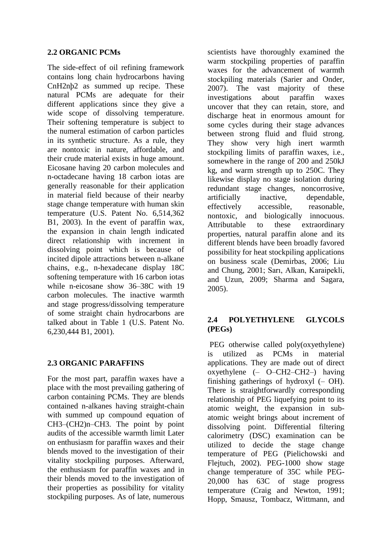#### **2.2 ORGANIC PCMs**

The side-effect of oil refining framework contains long chain hydrocarbons having CnH2nþ2 as summed up recipe. These natural PCMs are adequate for their different applications since they give a wide scope of dissolving temperature. Their softening temperature is subject to the numeral estimation of carbon particles in its synthetic structure. As a rule, they are nontoxic in nature, affordable, and their crude material exists in huge amount. Eicosane having 20 carbon molecules and n-octadecane having 18 carbon iotas are generally reasonable for their application in material field because of their nearby stage change temperature with human skin temperature (U.S. Patent No. 6,514,362 B1, 2003). In the event of paraffin wax, the expansion in chain length indicated direct relationship with increment in dissolving point which is because of incited dipole attractions between n-alkane chains, e.g., n-hexadecane display 18C softening temperature with 16 carbon iotas while n-eicosane show 36–38C with 19 carbon molecules. The inactive warmth and stage progress/dissolving temperature of some straight chain hydrocarbons are talked about in Table 1 (U.S. Patent No. 6,230,444 B1, 2001).

#### **2.3 ORGANIC PARAFFINS**

For the most part, paraffin waxes have a place with the most prevailing gathering of carbon containing PCMs. They are blends contained n-alkanes having straight-chain with summed up compound equation of CH3–(CH2)n–CH3. The point by point audits of the accessible warmth limit Later on enthusiasm for paraffin waxes and their blends moved to the investigation of their vitality stockpiling purposes. Afterward, the enthusiasm for paraffin waxes and in their blends moved to the investigation of their properties as possibility for vitality stockpiling purposes. As of late, numerous scientists have thoroughly examined the warm stockpiling properties of paraffin waxes for the advancement of warmth stockpiling materials (Sarier and Onder, 2007). The vast majority of these investigations about paraffin waxes uncover that they can retain, store, and discharge heat in enormous amount for some cycles during their stage advances between strong fluid and fluid strong. They show very high inert warmth stockpiling limits of paraffin waxes, i.e., somewhere in the range of 200 and 250kJ kg, and warm strength up to 250C. They likewise display no stage isolation during redundant stage changes, noncorrosive, artificially inactive, dependable, effectively accessible, reasonable, nontoxic, and biologically innocuous. Attributable to these extraordinary properties, natural paraffin alone and its different blends have been broadly favored possibility for heat stockpiling applications on business scale (Demirbas, 2006; Liu and Chung, 2001; Sarı, Alkan, Karaipekli, and Uzun, 2009; Sharma and Sagara, 2005).

## **2.4 POLYETHYLENE GLYCOLS (PEGs)**

PEG otherwise called poly(oxyethylene) is utilized as PCMs in material applications. They are made out of direct oxyethylene (– O–CH2–CH2–) having finishing gatherings of hydroxyl (– OH). There is straightforwardly corresponding relationship of PEG liquefying point to its atomic weight, the expansion in subatomic weight brings about increment of dissolving point. Differential filtering calorimetry (DSC) examination can be utilized to decide the stage change temperature of PEG (Pielichowski and Flejtuch, 2002). PEG-1000 show stage change temperature of 35C while PEG-20,000 has 63C of stage progress temperature (Craig and Newton, 1991; Hopp, Smausz, Tombacz, Wittmann, and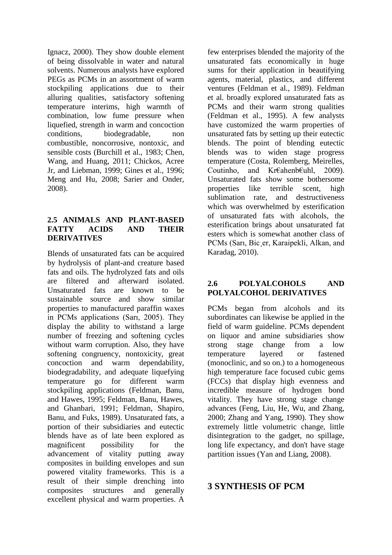Ignacz, 2000). They show double element of being dissolvable in water and natural solvents. Numerous analysts have explored PEGs as PCMs in an assortment of warm stockpiling applications due to their alluring qualities, satisfactory softening temperature interims, high warmth of combination, low fume pressure when liquefied, strength in warm and concoction conditions, biodegradable, non combustible, noncorrosive, nontoxic, and sensible costs (Burchill et al., 1983; Chen, Wang, and Huang, 2011; Chickos, Acree Jr, and Liebman, 1999; Gines et al., 1996; Meng and Hu, 2008; Sarier and Onder, 2008).

#### **2.5 ANIMALS AND PLANT-BASED FATTY ACIDS AND THEIR DERIVATIVES**

Blends of unsaturated fats can be acquired by hydrolysis of plant-and creature based fats and oils. The hydrolyzed fats and oils are filtered and afterward isolated. Unsaturated fats are known to be sustainable source and show similar properties to manufactured paraffin waxes in PCMs applications (Sarı, 2005). They display the ability to withstand a large number of freezing and softening cycles without warm corruption. Also, they have softening congruency, nontoxicity, great concoction and warm dependability, biodegradability, and adequate liquefying temperature go for different warm stockpiling applications (Feldman, Banu, and Hawes, 1995; Feldman, Banu, Hawes, and Ghanbari, 1991; Feldman, Shapiro, Banu, and Fuks, 1989). Unsaturated fats, a portion of their subsidiaries and eutectic blends have as of late been explored as magnificent possibility for the advancement of vitality putting away composites in building envelopes and sun powered vitality frameworks. This is a result of their simple drenching into composites structures and generally excellent physical and warm properties. A

few enterprises blended the majority of the unsaturated fats economically in huge sums for their application in beautifying agents, material, plastics, and different ventures (Feldman et al., 1989). Feldman et al. broadly explored unsaturated fats as PCMs and their warm strong qualities (Feldman et al., 1995). A few analysts have customized the warm properties of unsaturated fats by setting up their eutectic blends. The point of blending eutectic blends was to widen stage progress temperature (Costa, Rolemberg, Meirelles, Coutinho, and Kr€ahenb€uhl, 2009). Unsaturated fats show some bothersome properties like terrible scent, high sublimation rate, and destructiveness which was overwhelmed by esterification of unsaturated fats with alcohols, the esterification brings about unsaturated fat esters which is somewhat another class of PCMs (Sarı, Bic¸er, Karaipekli, Alkan, and Karadag, 2010).

#### **2.6 POLYALCOHOLS AND POLYALCOHOL DERIVATIVES**

PCMs began from alcohols and its subordinates can likewise be applied in the field of warm guideline. PCMs dependent on liquor and amine subsidiaries show strong stage change from a low temperature layered or fastened (monoclinic, and so on.) to a homogeneous high temperature face focused cubic gems (FCCs) that display high evenness and incredible measure of hydrogen bond vitality. They have strong stage change advances (Feng, Liu, He, Wu, and Zhang, 2000; Zhang and Yang, 1990). They show extremely little volumetric change, little disintegration to the gadget, no spillage, long life expectancy, and don't have stage partition issues (Yan and Liang, 2008).

# **3 SYNTHESIS OF PCM**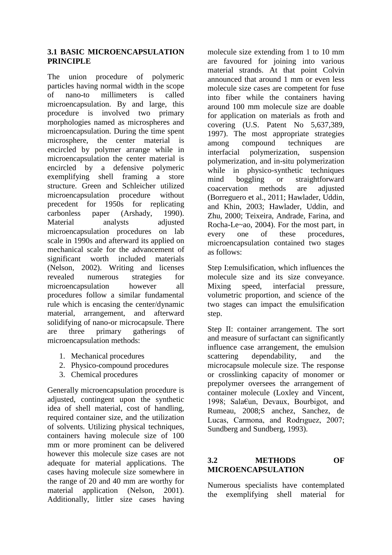#### **3.1 BASIC MICROENCAPSULATION PRINCIPLE**

The union procedure of polymeric particles having normal width in the scope of nano-to millimeters is called microencapsulation. By and large, this procedure is involved two primary morphologies named as microspheres and microencapsulation. During the time spent microsphere, the center material is encircled by polymer arrange while in microencapsulation the center material is encircled by a defensive polymeric exemplifying shell framing a store structure. Green and Schleicher utilized microencapsulation procedure without precedent for 1950s for replicating carbonless paper (Arshady, 1990). Material analysts adjusted microencapsulation procedures on lab scale in 1990s and afterward its applied on mechanical scale for the advancement of significant worth included materials (Nelson, 2002). Writing and licenses revealed numerous strategies for microencapsulation however all procedures follow a similar fundamental rule which is encasing the center/dynamic material, arrangement, and afterward solidifying of nano-or microcapsule. There are three primary gatherings of microencapsulation methods:

- 1. Mechanical procedures
- 2. Physico-compound procedures
- 3. Chemical procedures

Generally microencapsulation procedure is adjusted, contingent upon the synthetic idea of shell material, cost of handling, required container size, and the utilization of solvents. Utilizing physical techniques, containers having molecule size of 100 mm or more prominent can be delivered however this molecule size cases are not adequate for material applications. The cases having molecule size somewhere in the range of 20 and 40 mm are worthy for material application (Nelson, 2001). Additionally, littler size cases having molecule size extending from 1 to 10 mm are favoured for joining into various material strands. At that point Colvin announced that around 1 mm or even less molecule size cases are competent for fuse into fiber while the containers having around 100 mm molecule size are doable for application on materials as froth and covering (U.S. Patent No 5,637,389, 1997). The most appropriate strategies among compound techniques are interfacial polymerization, suspension polymerization, and in-situ polymerization while in physico-synthetic techniques mind boggling or straightforward coacervation methods are adjusted (Borreguero et al., 2011; Hawlader, Uddin, and Khin, 2003; Hawlader, Uddin, and Zhu, 2000; Teixeira, Andrade, Farina, and Rocha-Le~ao, 2004). For the most part, in every one of these procedures, microencapsulation contained two stages as follows:

Step I:emulsification, which influences the molecule size and its size conveyance. Mixing speed, interfacial pressure, volumetric proportion, and science of the two stages can impact the emulsification step.

Step II: container arrangement. The sort and measure of surfactant can significantly influence case arrangement, the emulsion scattering dependability, and the microcapsule molecule size. The response or crosslinking capacity of monomer or prepolymer oversees the arrangement of container molecule (Loxley and Vincent, 1998; Sala€un, Devaux, Bourbigot, and Rumeau, 2008;S anchez, Sanchez, de Lucas, Carmona, and Rodrıguez, 2007; Sundberg and Sundberg, 1993).

# **3.2 METHODS OF MICROENCAPSULATION**

Numerous specialists have contemplated the exemplifying shell material for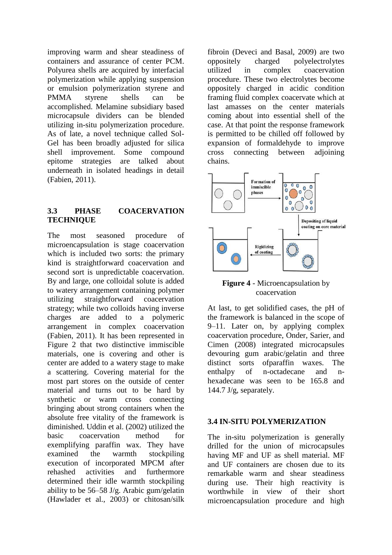improving warm and shear steadiness of containers and assurance of center PCM. Polyurea shells are acquired by interfacial polymerization while applying suspension or emulsion polymerization styrene and PMMA styrene shells can be accomplished. Melamine subsidiary based microcapsule dividers can be blended utilizing in-situ polymerization procedure. As of late, a novel technique called Sol-Gel has been broadly adjusted for silica shell improvement. Some compound epitome strategies are talked about underneath in isolated headings in detail (Fabien, 2011).

#### **3.3 PHASE COACERVATION TECHNIQUE**

The most seasoned procedure of microencapsulation is stage coacervation which is included two sorts: the primary kind is straightforward coacervation and second sort is unpredictable coacervation. By and large, one colloidal solute is added to watery arrangement containing polymer utilizing straightforward coacervation strategy; while two colloids having inverse charges are added to a polymeric arrangement in complex coacervation (Fabien, 2011). It has been represented in Figure 2 that two distinctive immiscible materials, one is covering and other is center are added to a watery stage to make a scattering. Covering material for the most part stores on the outside of center material and turns out to be hard by synthetic or warm cross connecting bringing about strong containers when the absolute free vitality of the framework is diminished. Uddin et al. (2002) utilized the basic coacervation method for exemplifying paraffin wax. They have examined the warmth stockpiling execution of incorporated MPCM after rehashed activities and furthermore determined their idle warmth stockpiling ability to be 56–58 J/g. Arabic gum/gelatin (Hawlader et al., 2003) or chitosan/silk

fibroin (Deveci and Basal, 2009) are two oppositely charged polyelectrolytes utilized in complex coacervation procedure. These two electrolytes become oppositely charged in acidic condition framing fluid complex coacervate which at last amasses on the center materials coming about into essential shell of the case. At that point the response framework is permitted to be chilled off followed by expansion of formaldehyde to improve cross connecting between adjoining chains.



#### **Figure 4** - Microencapsulation by coacervation

At last, to get solidified cases, the pH of the framework is balanced in the scope of 9–11. Later on, by applying complex coacervation procedure, Onder, Sarier, and Cimen (2008) integrated microcapsules devouring gum arabic/gelatin and three distinct sorts ofparaffin waxes. The enthalpy of n-octadecane and nhexadecane was seen to be 165.8 and 144.7 J/g, separately.

#### **3.4 IN-SITU POLYMERIZATION**

The in-situ polymerization is generally drilled for the union of microcapsules having MF and UF as shell material. MF and UF containers are chosen due to its remarkable warm and shear steadiness during use. Their high reactivity is worthwhile in view of their short microencapsulation procedure and high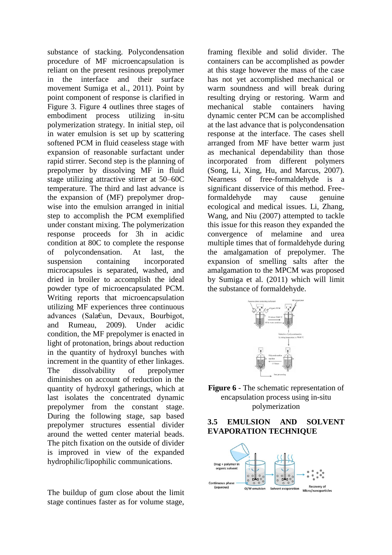substance of stacking. Polycondensation procedure of MF microencapsulation is reliant on the present resinous prepolymer in the interface and their surface movement Sumiga et al., 2011). Point by point component of response is clarified in Figure 3. Figure 4 outlines three stages of embodiment process utilizing in-situ polymerization strategy. In initial step, oil in water emulsion is set up by scattering softened PCM in fluid ceaseless stage with expansion of reasonable surfactant under rapid stirrer. Second step is the planning of prepolymer by dissolving MF in fluid stage utilizing attractive stirrer at 50–60C temperature. The third and last advance is the expansion of (MF) prepolymer dropwise into the emulsion arranged in initial step to accomplish the PCM exemplified under constant mixing. The polymerization response proceeds for 3h in acidic condition at 80C to complete the response of polycondensation. At last, the suspension containing incorporated microcapsules is separated, washed, and dried in broiler to accomplish the ideal powder type of microencapsulated PCM. Writing reports that microencapsulation utilizing MF experiences three continuous advances (Sala€un, Devaux, Bourbigot, and Rumeau, 2009). Under acidic condition, the MF prepolymer is enacted in light of protonation, brings about reduction in the quantity of hydroxyl bunches with increment in the quantity of ether linkages. The dissolvability of prepolymer diminishes on account of reduction in the quantity of hydroxyl gatherings, which at last isolates the concentrated dynamic prepolymer from the constant stage. During the following stage, sap based prepolymer structures essential divider around the wetted center material beads. The pitch fixation on the outside of divider is improved in view of the expanded hydrophilic/lipophilic communications.

The buildup of gum close about the limit stage continues faster as for volume stage, framing flexible and solid divider. The containers can be accomplished as powder at this stage however the mass of the case has not yet accomplished mechanical or warm soundness and will break during resulting drying or restoring. Warm and mechanical stable containers having dynamic center PCM can be accomplished at the last advance that is polycondensation response at the interface. The cases shell arranged from MF have better warm just as mechanical dependability than those incorporated from different polymers (Song, Li, Xing, Hu, and Marcus, 2007). Nearness of free-formaldehyde is a significant disservice of this method. Freeformaldehyde may cause genuine ecological and medical issues. Li, Zhang, Wang, and Niu (2007) attempted to tackle this issue for this reason they expanded the convergence of melamine and urea multiple times that of formaldehyde during the amalgamation of prepolymer. The expansion of smelling salts after the amalgamation to the MPCM was proposed by Sumiga et al. (2011) which will limit the substance of formaldehyde.



**Figure 6** - The schematic representation of encapsulation process using in-situ polymerization

#### **3.5 EMULSION AND SOLVENT EVAPORATION TECHNIQUE**

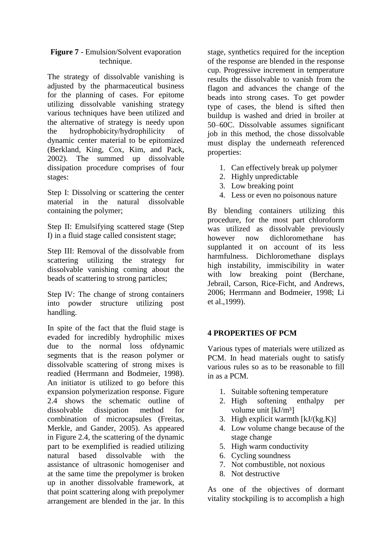#### **Figure 7** - Emulsion/Solvent evaporation technique.

The strategy of dissolvable vanishing is adjusted by the pharmaceutical business for the planning of cases. For epitome utilizing dissolvable vanishing strategy various techniques have been utilized and the alternative of strategy is needy upon the hydrophobicity/hydrophilicity of dynamic center material to be epitomized (Berkland, King, Cox, Kim, and Pack, 2002). The summed up dissolvable dissipation procedure comprises of four stages:

Step I: Dissolving or scattering the center material in the natural dissolvable containing the polymer;

Step II: Emulsifying scattered stage (Step I) in a fluid stage called consistent stage;

Step III: Removal of the dissolvable from scattering utilizing the strategy for dissolvable vanishing coming about the beads of scattering to strong particles;

Step IV: The change of strong containers into powder structure utilizing post handling.

In spite of the fact that the fluid stage is evaded for incredibly hydrophilic mixes due to the normal loss ofdynamic segments that is the reason polymer or dissolvable scattering of strong mixes is readied (Herrmann and Bodmeier, 1998). An initiator is utilized to go before this expansion polymerization response. Figure 2.4 shows the schematic outline of dissolvable dissipation method for combination of microcapsules (Freitas, Merkle, and Gander, 2005). As appeared in Figure 2.4, the scattering of the dynamic part to be exemplified is readied utilizing natural based dissolvable with the assistance of ultrasonic homogeniser and at the same time the prepolymer is broken up in another dissolvable framework, at that point scattering along with prepolymer arrangement are blended in the jar. In this

stage, synthetics required for the inception of the response are blended in the response cup. Progressive increment in temperature results the dissolvable to vanish from the flagon and advances the change of the beads into strong cases. To get powder type of cases, the blend is sifted then buildup is washed and dried in broiler at 50–60C. Dissolvable assumes significant job in this method, the chose dissolvable must display the underneath referenced properties:

- 1. Can effectively break up polymer
- 2. Highly unpredictable
- 3. Low breaking point
- 4. Less or even no poisonous nature

By blending containers utilizing this procedure, for the most part chloroform was utilized as dissolvable previously however now dichloromethane has supplanted it on account of its less harmfulness. Dichloromethane displays high instability, immiscibility in water with low breaking point (Berchane, Jebrail, Carson, Rice-Ficht, and Andrews, 2006; Herrmann and Bodmeier, 1998; Li et al.,1999).

#### **4 PROPERTIES OF PCM**

Various types of materials were utilized as PCM. In head materials ought to satisfy various rules so as to be reasonable to fill in as a PCM.

- 1. Suitable softening temperature
- 2. High softening enthalpy per volume unit [kJ/m<sup>3</sup>]
- 3. High explicit warmth  $[kJ/(kg.K)]$
- 4. Low volume change because of the stage change
- 5. High warm conductivity
- 6. Cycling soundness
- 7. Not combustible, not noxious
- 8. Not destructive

As one of the objectives of dormant vitality stockpiling is to accomplish a high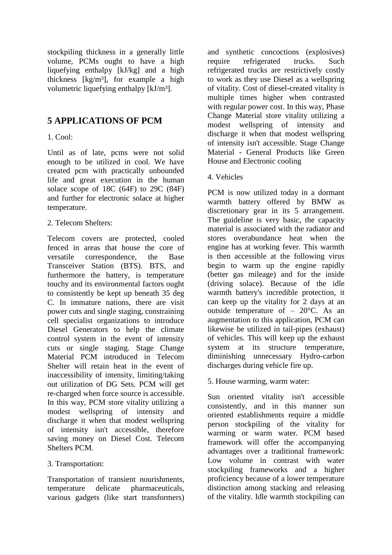stockpiling thickness in a generally little volume, PCMs ought to have a high liquefying enthalpy [kJ/kg] and a high thickness  $\lceil \text{kg/m}^3 \rceil$ , for example a high volumetric liquefying enthalpy [kJ/m<sup>3</sup>].

# **5 APPLICATIONS OF PCM**

## 1. Cool:

Until as of late, pcms were not solid enough to be utilized in cool. We have created pcm with practically unbounded life and great execution in the human solace scope of 18C (64F) to 29C (84F) and further for electronic solace at higher temperature.

## 2. Telecom Shelters:

Telecom covers are protected, cooled fenced in areas that house the core of versatile correspondence, the Base Transceiver Station (BTS). BTS, and furthermore the battery, is temperature touchy and its environmental factors ought to consistently be kept up beneath 35 deg C. In immature nations, there are visit power cuts and single staging, constraining cell specialist organizations to introduce Diesel Generators to help the climate control system in the event of intensity cuts or single staging. Stage Change Material PCM introduced in Telecom Shelter will retain heat in the event of inaccessibility of intensity, limiting/taking out utilization of DG Sets. PCM will get re-charged when force source is accessible. In this way, PCM store vitality utilizing a modest wellspring of intensity and discharge it when that modest wellspring of intensity isn't accessible, therefore saving money on Diesel Cost. Telecom Shelters PCM.

#### 3. Transportation:

Transportation of transient nourishments, temperature delicate pharmaceuticals, various gadgets (like start transformers) and synthetic concoctions (explosives) require refrigerated trucks. Such refrigerated trucks are restrictively costly to work as they use Diesel as a wellspring of vitality. Cost of diesel-created vitality is multiple times higher when contrasted with regular power cost. In this way, Phase Change Material store vitality utilizing a modest wellspring of intensity and discharge it when that modest wellspring of intensity isn't accessible. Stage Change Material - General Products like Green House and Electronic cooling

4. Vehicles

PCM is now utilized today in a dormant warmth battery offered by BMW as discretionary gear in its 5 arrangement. The guideline is very basic, the capacity material is associated with the radiator and stores overabundance heat when the engine has at working fever. This warmth is then accessible at the following virus begin to warm up the engine rapidly (better gas mileage) and for the inside (driving solace). Because of the idle warmth battery's incredible protection, it can keep up the vitality for 2 days at an outside temperature of  $-20^{\circ}$ C. As an augmentation to this application, PCM can likewise be utilized in tail-pipes (exhaust) of vehicles. This will keep up the exhaust system at its structure temperature, diminishing unnecessary Hydro-carbon discharges during vehicle fire up.

#### 5. House warming, warm water:

Sun oriented vitality isn't accessible consistently, and in this manner sun oriented establishments require a middle person stockpiling of the vitality for warming or warm water. PCM based framework will offer the accompanying advantages over a traditional framework: Low volume in contrast with water stockpiling frameworks and a higher proficiency because of a lower temperature distinction among stacking and releasing of the vitality. Idle warmth stockpiling can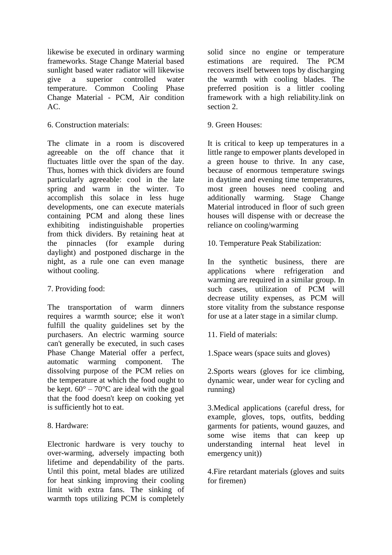likewise be executed in ordinary warming frameworks. Stage Change Material based sunlight based water radiator will likewise give a superior controlled water temperature. Common Cooling Phase Change Material - PCM, Air condition AC.

6. Construction materials:

The climate in a room is discovered agreeable on the off chance that it fluctuates little over the span of the day. Thus, homes with thick dividers are found particularly agreeable: cool in the late spring and warm in the winter. To accomplish this solace in less huge developments, one can execute materials containing PCM and along these lines exhibiting indistinguishable properties from thick dividers. By retaining heat at the pinnacles (for example during daylight) and postponed discharge in the night, as a rule one can even manage without cooling.

# 7. Providing food:

The transportation of warm dinners requires a warmth source; else it won't fulfill the quality guidelines set by the purchasers. An electric warming source can't generally be executed, in such cases Phase Change Material offer a perfect, automatic warming component. The dissolving purpose of the PCM relies on the temperature at which the food ought to be kept.  $60^{\circ} - 70^{\circ}$ C are ideal with the goal that the food doesn't keep on cooking yet is sufficiently hot to eat.

# 8. Hardware:

Electronic hardware is very touchy to over-warming, adversely impacting both lifetime and dependability of the parts. Until this point, metal blades are utilized for heat sinking improving their cooling limit with extra fans. The sinking of warmth tops utilizing PCM is completely solid since no engine or temperature estimations are required. The PCM recovers itself between tops by discharging the warmth with cooling blades. The preferred position is a littler cooling framework with a high reliability.link on section 2.

## 9. Green Houses:

It is critical to keep up temperatures in a little range to empower plants developed in a green house to thrive. In any case, because of enormous temperature swings in daytime and evening time temperatures, most green houses need cooling and additionally warming. Stage Change Material introduced in floor of such green houses will dispense with or decrease the reliance on cooling/warming

10. Temperature Peak Stabilization:

In the synthetic business, there are applications where refrigeration and warming are required in a similar group. In such cases, utilization of PCM will decrease utility expenses, as PCM will store vitality from the substance response for use at a later stage in a similar clump.

11. Field of materials:

1.Space wears (space suits and gloves)

2.Sports wears (gloves for ice climbing, dynamic wear, under wear for cycling and running)

3.Medical applications (careful dress, for example, gloves, tops, outfits, bedding garments for patients, wound gauzes, and some wise items that can keep up understanding internal heat level in emergency unit))

4.Fire retardant materials (gloves and suits for firemen)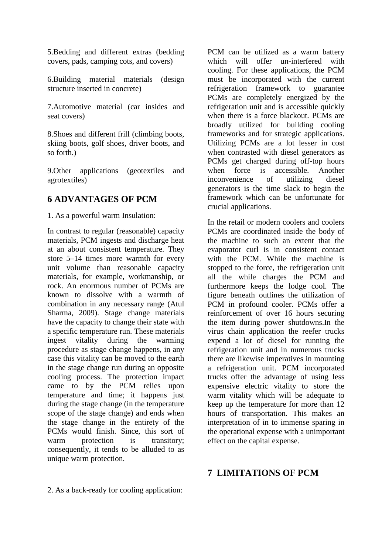5.Bedding and different extras (bedding covers, pads, camping cots, and covers)

6.Building material materials (design structure inserted in concrete)

7.Automotive material (car insides and seat covers)

8.Shoes and different frill (climbing boots, skiing boots, golf shoes, driver boots, and so forth.)

9.Other applications (geotextiles and agrotextiles)

# **6 ADVANTAGES OF PCM**

1. As a powerful warm Insulation:

In contrast to regular (reasonable) capacity materials, PCM ingests and discharge heat at an about consistent temperature. They store 5–14 times more warmth for every unit volume than reasonable capacity materials, for example, workmanship, or rock. An enormous number of PCMs are known to dissolve with a warmth of combination in any necessary range (Atul Sharma, 2009). Stage change materials have the capacity to change their state with a specific temperature run. These materials ingest vitality during the warming procedure as stage change happens, in any case this vitality can be moved to the earth in the stage change run during an opposite cooling process. The protection impact came to by the PCM relies upon temperature and time; it happens just during the stage change (in the temperature scope of the stage change) and ends when the stage change in the entirety of the PCMs would finish. Since, this sort of warm protection is transitory; consequently, it tends to be alluded to as unique warm protection.

PCM can be utilized as a warm battery which will offer un-interfered with cooling. For these applications, the PCM must be incorporated with the current refrigeration framework to guarantee PCMs are completely energized by the refrigeration unit and is accessible quickly when there is a force blackout. PCMs are broadly utilized for building cooling frameworks and for strategic applications. Utilizing PCMs are a lot lesser in cost when contrasted with diesel generators as PCMs get charged during off-top hours when force is accessible. Another inconvenience of utilizing diesel generators is the time slack to begin the framework which can be unfortunate for crucial applications.

In the retail or modern coolers and coolers PCMs are coordinated inside the body of the machine to such an extent that the evaporator curl is in consistent contact with the PCM. While the machine is stopped to the force, the refrigeration unit all the while charges the PCM and furthermore keeps the lodge cool. The figure beneath outlines the utilization of PCM in profound cooler. PCMs offer a reinforcement of over 16 hours securing the item during power shutdowns.In the virus chain application the reefer trucks expend a lot of diesel for running the refrigeration unit and in numerous trucks there are likewise imperatives in mounting a refrigeration unit. PCM incorporated trucks offer the advantage of using less expensive electric vitality to store the warm vitality which will be adequate to keep up the temperature for more than 12 hours of transportation. This makes an interpretation of in to immense sparing in the operational expense with a unimportant effect on the capital expense.

# **7 LIMITATIONS OF PCM**

2. As a back-ready for cooling application: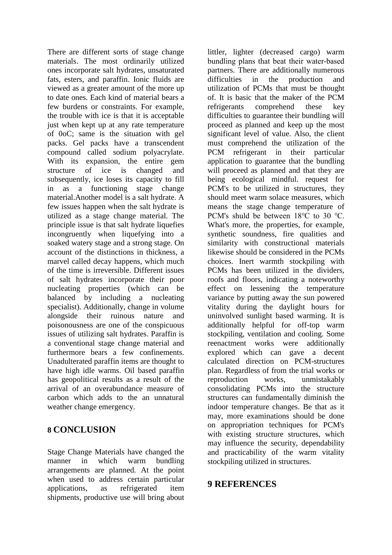There are different sorts of stage change materials. The most ordinarily utilized ones incorporate salt hydrates, unsaturated fats, esters, and paraffin. Ionic fluids are viewed as a greater amount of the more up to date ones. Each kind of material bears a few burdens or constraints. For example, the trouble with ice is that it is acceptable just when kept up at any rate temperature of 0oC; same is the situation with gel packs. Gel packs have a transcendent compound called sodium polyacrylate. With its expansion, the entire gem structure of ice is changed and subsequently, ice loses its capacity to fill in as a functioning stage change material.Another model is a salt hydrate. A few issues happen when the salt hydrate is utilized as a stage change material. The principle issue is that salt hydrate liquefies incongruently when liquefying into a soaked watery stage and a strong stage. On account of the distinctions in thickness, a marvel called decay happens, which much of the time is irreversible. Different issues of salt hydrates incorporate their poor nucleating properties (which can be balanced by including a nucleating specialist). Additionally, change in volume alongside their ruinous nature and poisonousness are one of the conspicuous issues of utilizing salt hydrates. Paraffin is a conventional stage change material and furthermore bears a few confinements. Unadulterated paraffin items are thought to have high idle warms. Oil based paraffin has geopolitical results as a result of the arrival of an overabundance measure of carbon which adds to the an unnatural weather change emergency.

# **8 CONCLUSION**

Stage Change Materials have changed the manner in which warm bundling arrangements are planned. At the point when used to address certain particular applications, as refrigerated item shipments, productive use will bring about

littler, lighter (decreased cargo) warm bundling plans that beat their water‐based partners. There are additionally numerous difficulties in the production and utilization of PCMs that must be thought of. It is basic that the maker of the PCM refrigerants comprehend these key difficulties to guarantee their bundling will proceed as planned and keep up the most significant level of value. Also, the client must comprehend the utilization of the PCM refrigerant in their particular application to guarantee that the bundling will proceed as planned and that they are being ecological mindful. request for PCM's to be utilized in structures, they should meet warm solace measures, which means the stage change temperature of PCM's shuld be between 18℃ to 30 ℃. What's more, the properties, for example, synthetic soundness, fire qualities and similarity with constructional materials likewise should be considered in the PCMs choices. Inert warmth stockpiling with PCMs has been utilized in the dividers, roofs and floors, indicating a noteworthy effect on lessening the temperature variance by putting away the sun powered vitality during the daylight hours for uninvolved sunlight based warming. It is additionally helpful for off-top warm stockpiling, ventilation and cooling. Some reenactment works were additionally explored which can gave a decent calculated direction on PCM-structures plan. Regardless of from the trial works or reproduction works, unmistakably consolidating PCMs into the structure structures can fundamentally diminish the indoor temperature changes. Be that as it may, more examinations should be done on appropriation techniques for PCM's with existing structure structures, which may influence the security, dependability and practicability of the warm vitality stockpiling utilized in structures.

# **9 REFERENCES**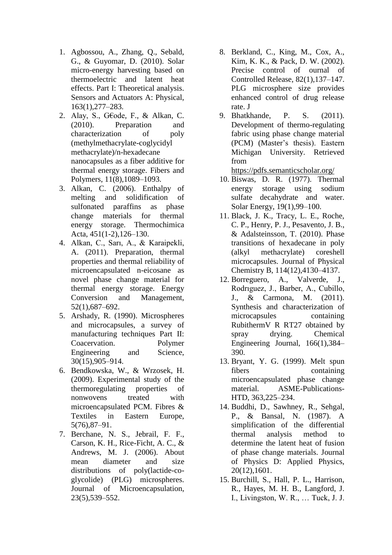- 1. Agbossou, A., Zhang, Q., Sebald, G., & Guyomar, D. (2010). Solar micro-energy harvesting based on thermoelectric and latent heat effects. Part I: Theoretical analysis. Sensors and Actuators A: Physical, 163(1),277–283.
- 2. Alay, S., G€ode, F., & Alkan, C. (2010). Preparation and characterization of poly (methylmethacrylate-coglycidyl methacrylate)/n-hexadecane nanocapsules as a fiber additive for thermal energy storage. Fibers and Polymers, 11(8),1089–1093.
- 3. Alkan, C. (2006). Enthalpy of melting and solidification of sulfonated paraffins as phase change materials for thermal energy storage. Thermochimica Acta, 451(1-2),126–130.
- 4. Alkan, C., Sarı, A., & Karaipekli, A. (2011). Preparation, thermal properties and thermal reliability of microencapsulated n-eicosane as novel phase change material for thermal energy storage. Energy Conversion and Management, 52(1),687–692.
- 5. Arshady, R. (1990). Microspheres and microcapsules, a survey of manufacturing techniques Part II: Coacervation. Polymer Engineering and Science, 30(15),905–914.
- 6. Bendkowska, W., & Wrzosek, H. (2009). Experimental study of the thermoregulating properties of nonwovens treated with microencapsulated PCM. Fibres & Textiles in Eastern Europe, 5(76),87–91.
- 7. Berchane, N. S., Jebrail, F. F., Carson, K. H., Rice-Ficht, A. C., & Andrews, M. J. (2006). About mean diameter and size distributions of poly(lactide-coglycolide) (PLG) microspheres. Journal of Microencapsulation, 23(5),539–552.
- 8. Berkland, C., King, M., Cox, A., Kim, K. K., & Pack, D. W. (2002). Precise control of ournal of Controlled Release, 82(1),137–147. PLG microsphere size provides enhanced control of drug release rate. J
- 9. Bhatkhande, P. S. (2011). Development of thermo-regulating fabric using phase change material (PCM) (Master's thesis). Eastern Michigan University. Retrieved from

<https://pdfs.semanticscholar.org/>

- 10. Biswas, D. R. (1977). Thermal energy storage using sodium sulfate decahydrate and water. Solar Energy, 19(1),99–100.
- 11. Black, J. K., Tracy, L. E., Roche, C. P., Henry, P. J., Pesavento, J. B., & Adalsteinsson, T. (2010). Phase transitions of hexadecane in poly (alkyl methacrylate) coreshell microcapsules. Journal of Physical Chemistry B, 114(12),4130–4137.
- 12. Borreguero, A., Valverde, J., Rodrıguez, J., Barber, A., Cubillo, J., & Carmona, M. (2011). Synthesis and characterization of microcapsules containing RubithermV R RT27 obtained by spray drying. Chemical Engineering Journal, 166(1),384– 390.
- 13. Bryant, Y. G. (1999). Melt spun fibers containing microencapsulated phase change material. ASME-Publications-HTD, 363,225–234.
- 14. Buddhi, D., Sawhney, R., Sehgal, P., & Bansal, N. (1987). A simplification of the differential thermal analysis method to determine the latent heat of fusion of phase change materials. Journal of Physics D: Applied Physics, 20(12),1601.
- 15. Burchill, S., Hall, P. L., Harrison, R., Hayes, M. H. B., Langford, J. I., Livingston, W. R., … Tuck, J. J.